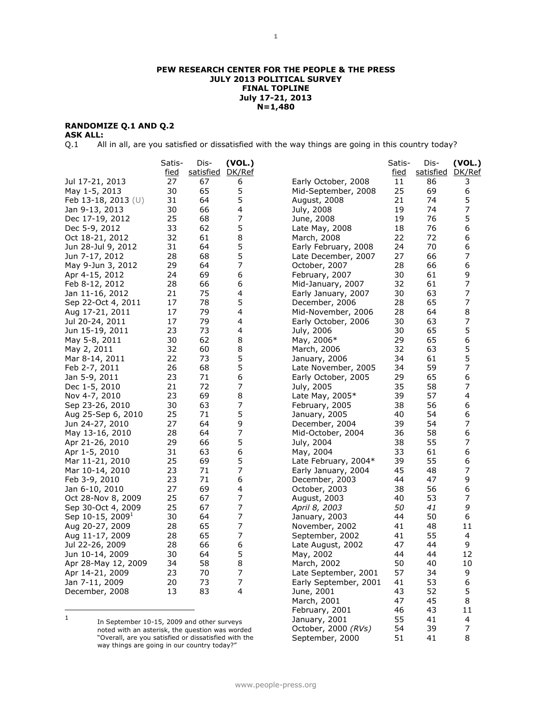#### **RANDOMIZE Q.1 AND Q.2**

**ASK ALL:**<br>Q.1 All All in all, are you satisfied or dissatisfied with the way things are going in this country today?

|                              | Satis-<br>fied | Dis-<br>satisfied DK/Ref | (VOL.)         |                       | Satis-<br>fied | Dis-<br>satisfied | (VOL.)<br>DK/Ref |
|------------------------------|----------------|--------------------------|----------------|-----------------------|----------------|-------------------|------------------|
| Jul 17-21, 2013              | 27             | 67                       | 6              | Early October, 2008   | 11             | 86                | 3                |
| May 1-5, 2013                | 30             | 65                       | 5              | Mid-September, 2008   | 25             | 69                | 6                |
| Feb 13-18, 2013 (U)          | 31             | 64                       | 5              | August, 2008          | 21             | 74                | 5                |
| Jan 9-13, 2013               | 30             | 66                       | 4              | July, 2008            | 19             | 74                | 7                |
| Dec 17-19, 2012              | 25             | 68                       | 7              | June, 2008            | 19             | 76                | 5                |
| Dec 5-9, 2012                | 33             | 62                       | 5              | Late May, 2008        | 18             | 76                | 6                |
| Oct 18-21, 2012              | 32             | 61                       | 8              | March, 2008           | 22             | 72                | 6                |
| Jun 28-Jul 9, 2012           | 31             | 64                       | 5              | Early February, 2008  | 24             | 70                | 6                |
| Jun 7-17, 2012               | 28             | 68                       | 5              | Late December, 2007   | 27             | 66                | 7                |
| May 9-Jun 3, 2012            | 29             | 64                       | $\overline{7}$ | October, 2007         | 28             | 66                | 6                |
| Apr 4-15, 2012               | 24             | 69                       | 6              | February, 2007        | 30             | 61                | 9                |
| Feb 8-12, 2012               | 28             | 66                       | 6              | Mid-January, 2007     | 32             | 61                | 7                |
| Jan 11-16, 2012              | 21             | 75                       | 4              | Early January, 2007   | 30             | 63                | 7                |
| Sep 22-Oct 4, 2011           | 17             | 78                       | 5              | December, 2006        | 28             | 65                | 7                |
| Aug 17-21, 2011              | 17             | 79                       | 4              | Mid-November, 2006    | 28             | 64                | 8                |
| Jul 20-24, 2011              | 17             | 79                       | 4              | Early October, 2006   | 30             | 63                | 7                |
| Jun 15-19, 2011              | 23             | 73                       | 4              | July, 2006            | 30             | 65                | 5                |
| May 5-8, 2011                | 30             | 62                       | 8              | May, 2006*            | 29             | 65                | 6                |
| May 2, 2011                  | 32             | 60                       | 8              | March, 2006           | 32             | 63                | 5                |
| Mar 8-14, 2011               | 22             | 73                       | 5              | January, 2006         | 34             | 61                | 5                |
| Feb 2-7, 2011                | 26             | 68                       | 5              | Late November, 2005   | 34             | 59                | 7                |
| Jan 5-9, 2011                | 23             | 71                       | 6              | Early October, 2005   | 29             | 65                | 6                |
| Dec 1-5, 2010                | 21             | 72                       | 7              | July, 2005            | 35             | 58                | 7                |
| Nov 4-7, 2010                | 23             | 69                       | 8              | Late May, $2005*$     | 39             | 57                | 4                |
| Sep 23-26, 2010              | 30             | 63                       | $\overline{7}$ | February, 2005        | 38             | 56                | 6                |
| Aug 25-Sep 6, 2010           | 25             | 71                       | 5              | January, 2005         | 40             | 54                | 6                |
| Jun 24-27, 2010              | 27             | 64                       | 9              | December, 2004        | 39             | 54                | 7                |
| May 13-16, 2010              | 28             | 64                       | 7              | Mid-October, 2004     | 36             | 58                | 6                |
| Apr 21-26, 2010              | 29             | 66                       | 5              | July, 2004            | 38             | 55                | 7                |
| Apr 1-5, 2010                | 31             | 63                       | 6              | May, 2004             | 33             | 61                | 6                |
| Mar 11-21, 2010              | 25             | 69                       | 5              | Late February, 2004*  | 39             | 55                | 6                |
| Mar 10-14, 2010              | 23             | 71                       | 7              | Early January, 2004   | 45             | 48                | 7                |
| Feb 3-9, 2010                | 23             | 71                       | 6              | December, 2003        | 44             | 47                | 9                |
| Jan 6-10, 2010               | 27             | 69                       | 4              | October, 2003         | 38             | 56                | 6                |
| Oct 28-Nov 8, 2009           | 25             | 67                       | $\overline{7}$ | August, 2003          | 40             | 53                | 7                |
| Sep 30-Oct 4, 2009           | 25             | 67                       | 7              | April 8, 2003         | 50             | 41                | 9                |
| Sep 10-15, 2009 <sup>1</sup> | 30             | 64                       | $\overline{7}$ | January, 2003         | 44             | 50                | 6                |
| Aug 20-27, 2009              | 28             | 65                       | $\overline{7}$ | November, 2002        | 41             | 48                | 11               |
| Aug 11-17, 2009              | 28             | 65                       | $\overline{7}$ | September, 2002       | 41             | 55                | 4                |
| Jul 22-26, 2009              | 28             | 66                       | 6              | Late August, 2002     | 47             | 44                | 9                |
| Jun 10-14, 2009              | 30             | 64                       | 5              | May, 2002             | 44             | 44                | 12               |
| Apr 28-May 12, 2009          | 34             | 58                       | 8              | March, 2002           | 50             | 40                | 10               |
| Apr 14-21, 2009              | 23             | 70                       | $\overline{7}$ | Late September, 2001  | 57             | 34                | 9                |
| Jan 7-11, 2009               | 20             | 73                       | 7              | Early September, 2001 | 41             | 53                | 6                |
| December, 2008               | 13             | 83                       | 4              | June, 2001            | 43             | 52                | 5                |
|                              |                |                          |                | March, 2001           | 47             | 45                | 8                |
|                              |                |                          |                | February, 2001        | 46             | 43                | 11               |

1 In September 10-15, 2009 and other surveys noted with an asterisk, the question was worded "Overall, are you satisfied or dissatisfied with the way things are going in our country today?"

January, 2001 55 41 4 October, 2000 *(RVs)* 54 39 7 September, 2000 51 41 8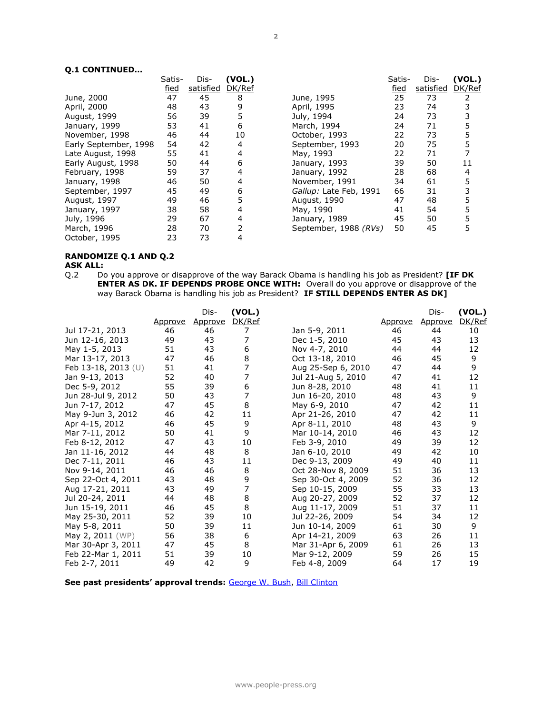#### **Q.1 CONTINUED…**

|                       | Satis-      | Dis-      | (VOL.) |                        | Satis-      | Dis-      | (VOL.) |
|-----------------------|-------------|-----------|--------|------------------------|-------------|-----------|--------|
|                       | <u>fied</u> | satisfied | DK/Ref |                        | <u>fied</u> | satisfied | DK/Ref |
| June, 2000            | 47          | 45        | 8      | June, 1995             | 25          | 73        |        |
| April, 2000           | 48          | 43        | 9      | April, 1995            | 23          | 74        | 3      |
| August, 1999          | 56          | 39        | 5      | July, 1994             | 24          | 73        | 3      |
| January, 1999         | 53          | 41        | 6      | March, 1994            | 24          | 71        | 5      |
| November, 1998        | 46          | 44        | 10     | October, 1993          | 22          | 73        | 5      |
| Early September, 1998 | 54          | 42        | 4      | September, 1993        | 20          | 75        | 5      |
| Late August, 1998     | 55          | 41        | 4      | May, 1993              | 22          | 71        |        |
| Early August, 1998    | 50          | 44        | 6      | January, 1993          | 39          | 50        | 11     |
| February, 1998        | 59          | 37        | 4      | January, 1992          | 28          | 68        | 4      |
| January, 1998         | 46          | 50        | 4      | November, 1991         | 34          | 61        | 5      |
| September, 1997       | 45          | 49        | 6      | Gallup: Late Feb, 1991 | 66          | 31        |        |
| August, 1997          | 49          | 46        | 5      | August, 1990           | 47          | 48        | 5      |
| January, 1997         | 38          | 58        | 4      | May, 1990              | 41          | 54        | 5      |
| July, 1996            | 29          | 67        | 4      | January, 1989          | 45          | 50        | 5      |
| March, 1996           | 28          | 70        |        | September, 1988 (RVs)  | 50          | 45        | 5      |
| October, 1995         | 23          | 73        |        |                        |             |           |        |

# **RANDOMIZE Q.1 AND Q.2**

### **ASK ALL:**

Q.2 Do you approve or disapprove of the way Barack Obama is handling his job as President? **[IF DK ENTER AS DK. IF DEPENDS PROBE ONCE WITH:** Overall do you approve or disapprove of the way Barack Obama is handling his job as President? **IF STILL DEPENDS ENTER AS DK]** 

|                     |         | Dis-    | (VOL.) |                    |                | Dis-    | (VOL.) |
|---------------------|---------|---------|--------|--------------------|----------------|---------|--------|
|                     | Approve | Approve | DK/Ref |                    | <u>Approve</u> | Approve | DK/Ref |
| Jul 17-21, 2013     | 46      | 46      | 7      | Jan 5-9, 2011      | 46             | 44      | 10     |
| Jun 12-16, 2013     | 49      | 43      | 7      | Dec 1-5, 2010      | 45             | 43      | 13     |
| May 1-5, 2013       | 51      | 43      | 6      | Nov 4-7, 2010      | 44             | 44      | 12     |
| Mar 13-17, 2013     | 47      | 46      | 8      | Oct 13-18, 2010    | 46             | 45      | 9      |
| Feb 13-18, 2013 (U) | 51      | 41      | 7      | Aug 25-Sep 6, 2010 | 47             | 44      | 9      |
| Jan 9-13, 2013      | 52      | 40      | 7      | Jul 21-Aug 5, 2010 | 47             | 41      | 12     |
| Dec 5-9, 2012       | 55      | 39      | 6      | Jun 8-28, 2010     | 48             | 41      | 11     |
| Jun 28-Jul 9, 2012  | 50      | 43      | 7      | Jun 16-20, 2010    | 48             | 43      | 9      |
| Jun 7-17, 2012      | 47      | 45      | 8      | May 6-9, 2010      | 47             | 42      | 11     |
| May 9-Jun 3, 2012   | 46      | 42      | 11     | Apr 21-26, 2010    | 47             | 42      | 11     |
| Apr 4-15, 2012      | 46      | 45      | 9      | Apr 8-11, 2010     | 48             | 43      | 9      |
| Mar 7-11, 2012      | 50      | 41      | 9      | Mar 10-14, 2010    | 46             | 43      | 12     |
| Feb 8-12, 2012      | 47      | 43      | 10     | Feb 3-9, 2010      | 49             | 39      | 12     |
| Jan 11-16, 2012     | 44      | 48      | 8      | Jan 6-10, 2010     | 49             | 42      | 10     |
| Dec 7-11, 2011      | 46      | 43      | 11     | Dec 9-13, 2009     | 49             | 40      | 11     |
| Nov 9-14, 2011      | 46      | 46      | 8      | Oct 28-Nov 8, 2009 | 51             | 36      | 13     |
| Sep 22-Oct 4, 2011  | 43      | 48      | 9      | Sep 30-Oct 4, 2009 | 52             | 36      | 12     |
| Aug 17-21, 2011     | 43      | 49      | 7      | Sep 10-15, 2009    | 55             | 33      | 13     |
| Jul 20-24, 2011     | 44      | 48      | 8      | Aug 20-27, 2009    | 52             | 37      | 12     |
| Jun 15-19, 2011     | 46      | 45      | 8      | Aug 11-17, 2009    | 51             | 37      | 11     |
| May 25-30, 2011     | 52      | 39      | 10     | Jul 22-26, 2009    | 54             | 34      | 12     |
| May 5-8, 2011       | 50      | 39      | 11     | Jun 10-14, 2009    | 61             | 30      | 9      |
| May 2, 2011 (WP)    | 56      | 38      | 6      | Apr 14-21, 2009    | 63             | 26      | 11     |
| Mar 30-Apr 3, 2011  | 47      | 45      | 8      | Mar 31-Apr 6, 2009 | 61             | 26      | 13     |
| Feb 22-Mar 1, 2011  | 51      | 39      | 10     | Mar 9-12, 2009     | 59             | 26      | 15     |
| Feb 2-7, 2011       | 49      | 42      | 9      | Feb 4-8, 2009      | 64             | 17      | 19     |

**See past presidents' approval trends:** [George W. Bush,](http://www.people-press.org/files/legacy-questionnaires/483.pdf) [Bill Clinton](http://www.people-press.org/files/legacy-questionnaires/18.pdf)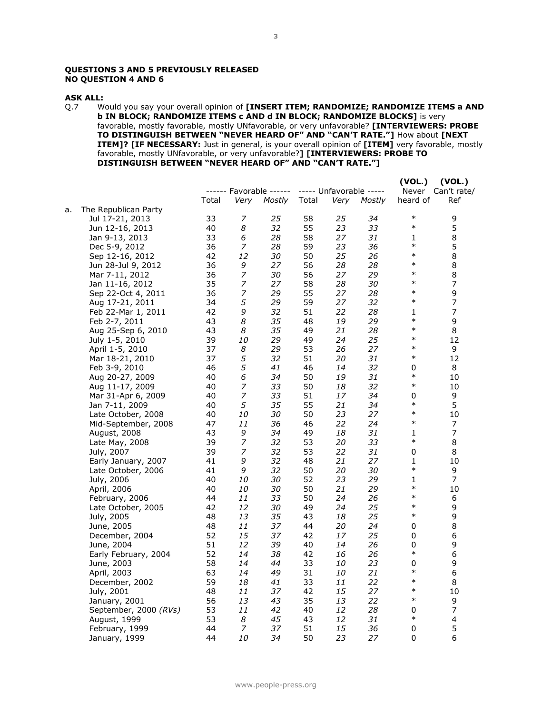#### **QUESTIONS 3 AND 5 PREVIOUSLY RELEASED NO QUESTION 4 AND 6**

#### **ASK ALL:**

Q.7 Would you say your overall opinion of **[INSERT ITEM; RANDOMIZE; RANDOMIZE ITEMS a AND b IN BLOCK; RANDOMIZE ITEMS c AND d IN BLOCK; RANDOMIZE BLOCKS]** is very favorable, mostly favorable, mostly UNfavorable, or very unfavorable? **[INTERVIEWERS: PROBE TO DISTINGUISH BETWEEN "NEVER HEARD OF" AND "CAN'T RATE."]** How about **[NEXT ITEM]? [IF NECESSARY:** Just in general, is your overall opinion of **[ITEM]** very favorable, mostly favorable, mostly UNfavorable, or very unfavorable?**] [INTERVIEWERS: PROBE TO DISTINGUISH BETWEEN "NEVER HEARD OF" AND "CAN'T RATE."]**

|    |                       |              |             |                                                 |              |             |        | (VOL.)   | (VOL.)            |
|----|-----------------------|--------------|-------------|-------------------------------------------------|--------------|-------------|--------|----------|-------------------|
|    |                       |              |             | ------ Favorable ------ ----- Unfavorable ----- |              |             |        |          | Never Can't rate/ |
|    |                       | <u>Total</u> | <u>Verv</u> | <b>Mostly</b>                                   | <u>Total</u> | <b>Very</b> | Mostly | heard of | <u>Ref</u>        |
| a. | The Republican Party  |              |             |                                                 |              |             |        |          |                   |
|    | Jul 17-21, 2013       | 33           | 7           | 25                                              | 58           | 25          | 34     | $\ast$   | 9                 |
|    | Jun 12-16, 2013       | 40           | 8           | 32                                              | 55           | 23          | 33     | $\ast$   | 5                 |
|    | Jan 9-13, 2013        | 33           | 6           | 28                                              | 58           | 27          | 31     | 1        | 8                 |
|    | Dec 5-9, 2012         | 36           | 7           | 28                                              | 59           | 23          | 36     | $\ast$   | 5                 |
|    | Sep 12-16, 2012       | 42           | 12          | 30                                              | 50           | 25          | 26     | $\ast$   | 8                 |
|    | Jun 28-Jul 9, 2012    | 36           | 9           | 27                                              | 56           | 28          | 28     | $\ast$   | 8                 |
|    | Mar 7-11, 2012        | 36           | 7           | 30                                              | 56           | 27          | 29     | $\ast$   | 8                 |
|    | Jan 11-16, 2012       | 35           | 7           | 27                                              | 58           | 28          | 30     | $\ast$   | 7                 |
|    | Sep 22-Oct 4, 2011    | 36           | 7           | 29                                              | 55           | 27          | 28     | $\ast$   | 9                 |
|    | Aug 17-21, 2011       | 34           | 5           | 29                                              | 59           | 27          | 32     | $\ast$   | 7                 |
|    | Feb 22-Mar 1, 2011    | 42           | 9           | 32                                              | 51           | 22          | 28     | 1        | 7                 |
|    | Feb 2-7, 2011         | 43           | 8           | 35                                              | 48           | 19          | 29     | $\ast$   | 9                 |
|    | Aug 25-Sep 6, 2010    | 43           | 8           | 35                                              | 49           | 21          | 28     | $\ast$   | 8                 |
|    | July 1-5, 2010        | 39           | 10          | 29                                              | 49           | 24          | 25     | $\ast$   | 12                |
|    | April 1-5, 2010       | 37           | 8           | 29                                              | 53           | 26          | 27     | $\ast$   | 9                 |
|    | Mar 18-21, 2010       | 37           | 5           | 32                                              | 51           | 20          | 31     | $\ast$   | 12                |
|    | Feb 3-9, 2010         | 46           | 5           | 41                                              | 46           | 14          | 32     | 0        | 8                 |
|    | Aug 20-27, 2009       | 40           | 6           | 34                                              | 50           | 19          | 31     | $\ast$   | 10                |
|    | Aug 11-17, 2009       | 40           | 7           | 33                                              | 50           | 18          | 32     | $\ast$   | 10                |
|    | Mar 31-Apr 6, 2009    | 40           | 7           | 33                                              | 51           | 17          | 34     | 0        | 9                 |
|    | Jan 7-11, 2009        | 40           | 5           | 35                                              | 55           | 21          | 34     | $\ast$   | 5                 |
|    | Late October, 2008    | 40           | 10          | 30                                              | 50           | 23          | 27     | $\ast$   | 10                |
|    | Mid-September, 2008   | 47           | 11          | 36                                              | 46           | 22          | 24     | $\ast$   | 7                 |
|    | August, 2008          | 43           | 9           | 34                                              | 49           | 18          | 31     | 1        | 7                 |
|    | Late May, 2008        | 39           | 7           | 32                                              | 53           | 20          | 33     | $\ast$   | 8                 |
|    | July, 2007            | 39           | 7           | 32                                              | 53           | 22          | 31     | 0        | 8                 |
|    | Early January, 2007   | 41           | 9           | 32                                              | 48           | 21          | 27     | 1        | 10                |
|    | Late October, 2006    | 41           | 9           | 32                                              | 50           | 20          | 30     | $\ast$   | 9                 |
|    | July, 2006            | 40           | 10          | 30                                              | 52           | 23          | 29     | 1        | 7                 |
|    | April, 2006           | 40           | 10          | 30                                              | 50           | 21          | 29     | $\ast$   | 10                |
|    | February, 2006        | 44           | 11          | 33                                              | 50           | 24          | 26     | $\ast$   | 6                 |
|    | Late October, 2005    | 42           | 12          | 30                                              | 49           | 24          | 25     | $\ast$   | 9                 |
|    | July, 2005            | 48           | 13          | 35                                              | 43           | 18          | 25     | $\ast$   | 9                 |
|    | June, 2005            | 48           | 11          | 37                                              | 44           | 20          | 24     | 0        | 8                 |
|    | December, 2004        | 52           | 15          | 37                                              | 42           | 17          | 25     | 0        | 6                 |
|    | June, 2004            | 51           | 12          | 39                                              | 40           | 14          | 26     | 0        | 9                 |
|    | Early February, 2004  | 52           | 14          | 38                                              | 42           | 16          | 26     | $\ast$   | 6                 |
|    | June, 2003            | 58           | 14          | 44                                              | 33           | 10          | 23     | 0        | 9                 |
|    | April, 2003           | 63           | 14          | 49                                              | 31           | 10          | 21     | $\ast$   | 6                 |
|    | December, 2002        | 59           | 18          | 41                                              | 33           | 11          | 22     | $\ast$   | 8                 |
|    | July, 2001            | 48           | 11          | 37                                              | 42           | 15          | 27     | $\ast$   | 10                |
|    | January, 2001         | 56           | 13          | 43                                              | 35           | 13          | 22     | $\ast$   | 9                 |
|    | September, 2000 (RVs) | 53           | 11          | 42                                              | 40           | 12          | 28     | 0        | 7                 |
|    | August, 1999          | 53           | 8           | 45                                              | 43           | 12          | 31     | $\ast$   | 4                 |
|    | February, 1999        | 44           | 7           | 37                                              | 51           | 15          | 36     | 0        | 5                 |
|    | January, 1999         | 44           | 10          | 34                                              | 50           | 23          | 27     | 0        | 6                 |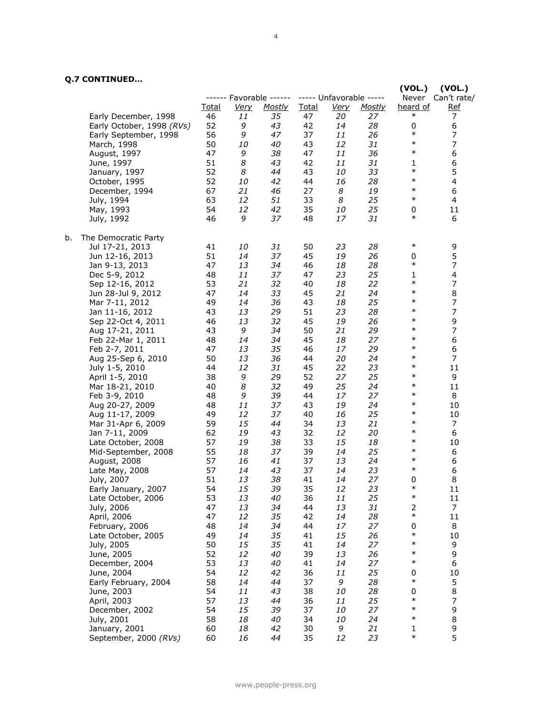# **Q.7 CONTINUED…**

|    |                                    |              |             |                         |              |                         |          | (VOL.)           | (VOL.)                   |
|----|------------------------------------|--------------|-------------|-------------------------|--------------|-------------------------|----------|------------------|--------------------------|
|    |                                    |              |             | ------ Favorable ------ |              | ----- Unfavorable ----- |          | Never            | Can't rate/              |
|    |                                    | <u>Total</u> | <u>Very</u> | <b>Mostly</b>           | <b>Total</b> | <u>Very</u>             | Mostly   | heard of         | <u>Ref</u>               |
|    | Early December, 1998               | 46           | 11          | 35                      | 47           | 20                      | 27       | $\ast$           | 7                        |
|    | Early October, 1998 (RVs)          | 52           | 9           | 43                      | 42           | 14                      | 28       | 0                | 6                        |
|    | Early September, 1998              | 56           | 9           | 47                      | 37           | 11                      | 26       | $\ast$           | $\boldsymbol{7}$         |
|    | March, 1998                        | 50           | 10          | 40                      | 43           | 12                      | 31       | $\ast$           | 7                        |
|    | August, 1997                       | 47           | 9           | 38                      | 47           | 11                      | 36       | $\ast$           | 6                        |
|    | June, 1997                         | 51           | 8           | 43                      | 42           | 11                      | 31       | 1<br>$\ast$      | 6                        |
|    | January, 1997                      | 52           | 8           | 44                      | 43           | 10                      | 33       |                  | 5                        |
|    | October, 1995                      | 52           | 10          | 42                      | 44           | 16                      | 28       | $\ast$<br>$\ast$ | 4                        |
|    | December, 1994                     | 67           | 21          | 46                      | 27           | 8                       | 19       | $\ast$           | 6                        |
|    | July, 1994                         | 63           | 12          | 51                      | 33           | 8                       | 25       |                  | 4                        |
|    | May, 1993                          | 54           | 12          | 42                      | 35           | 10                      | 25       | 0<br>$\ast$      | 11                       |
|    | July, 1992                         | 46           | 9           | 37                      | 48           | 17                      | 31       |                  | 6                        |
| b. | The Democratic Party               |              |             |                         |              |                         |          |                  |                          |
|    | Jul 17-21, 2013                    | 41           | 10          | 31                      | 50           | 23                      | 28       | $\ast$           | $\frac{9}{5}$            |
|    | Jun 12-16, 2013                    | 51           | 14          | 37                      | 45           | 19                      | 26       | 0                |                          |
|    | Jan 9-13, 2013                     | 47           | 13          | 34                      | 46           | 18                      | 28       | $\ast$           | $\overline{\phantom{a}}$ |
|    | Dec 5-9, 2012                      | 48           | 11          | 37                      | 47           | 23                      | 25       | 1                | 4                        |
|    | Sep 12-16, 2012                    | 53           | 21          | 32                      | 40           | 18                      | 22       | $\ast$           | $\boldsymbol{7}$         |
|    | Jun 28-Jul 9, 2012                 | 47           | 14          | 33                      | 45           | 21                      | 24       | $\ast$           | 8                        |
|    | Mar 7-11, 2012                     | 49           | 14          | 36                      | 43           | 18                      | 25       | $\ast$           | $\overline{\phantom{a}}$ |
|    | Jan 11-16, 2012                    | 43           | 13          | 29                      | 51           | 23                      | 28       | $\ast$           | $\boldsymbol{7}$         |
|    | Sep 22-Oct 4, 2011                 | 46           | 13          | 32                      | 45           | 19                      | 26       | $\ast$           | 9                        |
|    | Aug 17-21, 2011                    | 43           | 9           | 34                      | 50           | 21                      | 29       | $\ast$           | $\boldsymbol{7}$         |
|    | Feb 22-Mar 1, 2011                 | 48           | 14          | 34                      | 45           | 18                      | 27       | $\ast$           | 6                        |
|    | Feb 2-7, 2011                      | 47           | 13          | 35                      | 46           | 17                      | 29       | $\ast$           | 6                        |
|    | Aug 25-Sep 6, 2010                 | 50           | 13          | 36                      | 44           | 20                      | 24       | $\ast$           | $\overline{7}$           |
|    | July 1-5, 2010                     | 44           | 12          | 31                      | 45           | 22                      | 23       | $\ast$           | 11                       |
|    | April 1-5, 2010                    | 38           | 9           | 29                      | 52           | 27                      | 25       | $\ast$           | 9                        |
|    | Mar 18-21, 2010                    | 40           | 8           | 32                      | 49           | 25                      | 24       | $\ast$           | 11                       |
|    | Feb 3-9, 2010                      | 48           | 9           | 39                      | 44           | 17                      | 27       | $\ast$           | 8                        |
|    | Aug 20-27, 2009                    | 48           | 11          | 37                      | 43           | 19                      | 24       | $\ast$           | 10                       |
|    | Aug 11-17, 2009                    | 49           | 12          | 37                      | 40           | 16                      | 25       | $\ast$           | 10                       |
|    | Mar 31-Apr 6, 2009                 | 59           | 15          | 44                      | 34           | 13                      | 21       | $\ast$           | 7                        |
|    | Jan 7-11, 2009                     | 62           | 19          | 43                      | 32           | 12                      | 20       | $\ast$           | 6                        |
|    | Late October, 2008                 | 57           | 19          | 38                      | 33           | 15                      | 18       | $\ast$           | 10                       |
|    | Mid-September, 2008                | 55           | 18          | 37                      | 39           | 14                      | 25       | $\ast$           | 6                        |
|    | August, 2008                       | 57           | 16          | 41                      | 37           | 13                      | 24       | $\ast$           | 6                        |
|    | Late May, 2008                     | 57           | 14          | 43                      | 37           | 14                      | 23       | $\ast$           | 6                        |
|    | July, 2007                         | 51           | 13          | 38                      | 41           | 14                      | 27       | 0                | 8                        |
|    | Early January, 2007                | 54           | 15          | 39                      | 35           | 12                      | 23       | ∗<br>$\ast$      | 11                       |
|    | Late October, 2006                 | 53           | 13          | 40                      | 36           | 11                      | 25       |                  | 11                       |
|    | July, 2006                         | 47           | 13          | 34                      | 44           | 13                      | 31       | 2<br>$\ast$      | $\overline{7}$           |
|    | April, 2006                        | 47           | 12          | 35                      | 42           | 14                      | 28       |                  | 11                       |
|    | February, 2006                     | 48           | 14          | 34                      | 44           | 17                      | 27       | 0<br>$\ast$      | 8                        |
|    | Late October, 2005                 | 49           | 14          | 35                      | 41           | 15                      | 26       | $\ast$           | 10                       |
|    | July, 2005                         | 50           | 15          | 35                      | 41           | 14                      | 27       | $\ast$           | 9<br>9                   |
|    | June, 2005                         | 52<br>53     | 12<br>13    | 40<br>40                | 39<br>41     | 13<br>14                | 26<br>27 | $\ast$           | 6                        |
|    | December, 2004                     | 54           | 12          | 42                      | 36           | 11                      | 25       | 0                | 10                       |
|    | June, 2004<br>Early February, 2004 | 58           | 14          | 44                      | 37           | 9                       | 28       | $\ast$           | 5                        |
|    |                                    | 54           | 11          | 43                      | 38           | 10                      | 28       | 0                | 8                        |
|    | June, 2003                         | 57           | 13          | 44                      | 36           | 11                      | 25       | $\ast$           | $\boldsymbol{7}$         |
|    | April, 2003<br>December, 2002      | 54           | 15          | 39                      | 37           | 10                      | 27       | $\ast$           | 9                        |
|    | July, 2001                         | 58           | 18          | 40                      | 34           | 10                      | 24       | $\ast$           | 8                        |
|    | January, 2001                      | 60           | 18          | 42                      | 30           | 9                       | 21       | 1                | 9                        |
|    | September, 2000 (RVs)              | 60           | 16          | 44                      | 35           | 12                      | 23       | $\ast$           | 5                        |
|    |                                    |              |             |                         |              |                         |          |                  |                          |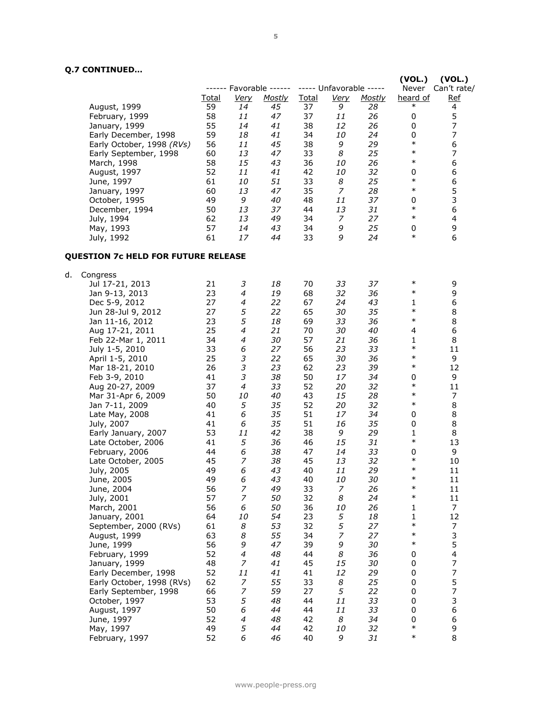# **Q.7 CONTINUED…**

|                                            |       |                  | ------ Favorable ------ |       | ----- Unfavorable ----- |               | (VOL.)<br>Never | (VOL.)<br>Can't rate/    |
|--------------------------------------------|-------|------------------|-------------------------|-------|-------------------------|---------------|-----------------|--------------------------|
|                                            | Total | <u>Very</u>      | <b>Mostly</b>           | Total | <u>Very</u>             | <b>Mostly</b> | heard of        | <u>Ref</u>               |
| August, 1999                               | 59    | 14               | 45                      | 37    | 9                       | 28            | $\ast$          | 4                        |
| February, 1999                             | 58    | 11               | 47                      | 37    | 11                      | 26            | 0               | 5                        |
| January, 1999                              | 55    | 14               | 41                      | 38    | 12                      | 26            | 0               | $\overline{7}$           |
| Early December, 1998                       | 59    | 18               | 41                      | 34    | 10                      | 24            | 0               | $\overline{7}$           |
|                                            |       |                  |                         |       |                         |               | $\ast$          |                          |
| Early October, 1998 (RVs)                  | 56    | 11               | 45                      | 38    | 9                       | 29            | $\ast$          | 6                        |
| Early September, 1998                      | 60    | 13               | 47                      | 33    | 8                       | 25            | $\ast$          | $\overline{7}$           |
| March, 1998                                | 58    | 15               | 43                      | 36    | 10                      | 26            |                 | 6                        |
| August, 1997                               | 52    | 11               | 41                      | 42    | 10                      | 32            | 0               | 6                        |
| June, 1997                                 | 61    | 10               | 51                      | 33    | 8                       | 25            | $\ast$          | 6                        |
| January, 1997                              | 60    | 13               | 47                      | 35    | 7                       | 28            | $\ast$          | 5                        |
| October, 1995                              | 49    | 9                | 40                      | 48    | 11                      | 37            | 0               | 3                        |
| December, 1994                             | 50    | 13               | 37                      | 44    | 13                      | 31            | $\ast$          | 6                        |
| July, 1994                                 | 62    | 13               | 49                      | 34    | 7                       | 27            | $\ast$          | 4                        |
| May, 1993                                  | 57    | 14               | 43                      | 34    | 9                       | 25            | 0               | 9                        |
| July, 1992                                 | 61    | 17               | 44                      | 33    | 9                       | 24            | $\ast$          | 6                        |
| <b>QUESTION 7c HELD FOR FUTURE RELEASE</b> |       |                  |                         |       |                         |               |                 |                          |
| Congress<br>d.                             |       |                  |                         |       |                         |               |                 |                          |
| Jul 17-21, 2013                            | 21    | 3                | 18                      | 70    | 33                      | 37            | $\ast$          | 9                        |
| Jan 9-13, 2013                             | 23    | 4                | 19                      | 68    | 32                      | 36            | $\ast$          | 9                        |
| Dec 5-9, 2012                              | 27    | 4                | 22                      | 67    | 24                      | 43            | 1               | 6                        |
| Jun 28-Jul 9, 2012                         | 27    | 5                | 22                      | 65    | 30                      | 35            | $\ast$          | 8                        |
| Jan 11-16, 2012                            | 23    | 5                | 18                      | 69    | 33                      | 36            | $\ast$          | 8                        |
| Aug 17-21, 2011                            | 25    | 4                | 21                      | 70    | 30                      | 40            | 4               | 6                        |
| Feb 22-Mar 1, 2011                         | 34    | 4                | 30                      | 57    | 21                      | 36            | 1               | 8                        |
|                                            | 33    | 6                | 27                      | 56    |                         | 33            | $\ast$          | 11                       |
| July 1-5, 2010                             | 25    | 3                | 22                      | 65    | 23<br>30                | 36            | $\ast$          | 9                        |
| April 1-5, 2010                            |       |                  |                         |       |                         |               | $\ast$          |                          |
| Mar 18-21, 2010                            | 26    | 3                | 23                      | 62    | 23                      | 39            |                 | 12                       |
| Feb 3-9, 2010                              | 41    | 3                | 38                      | 50    | 17                      | 34            | 0<br>$\ast$     | 9                        |
| Aug 20-27, 2009                            | 37    | 4                | 33                      | 52    | 20                      | 32            | $\ast$          | 11                       |
| Mar 31-Apr 6, 2009                         | 50    | 10               | 40                      | 43    | 15                      | 28            |                 | 7                        |
| Jan 7-11, 2009                             | 40    | 5                | 35                      | 52    | 20                      | 32            | $\ast$          | 8                        |
| Late May, 2008                             | 41    | 6                | 35                      | 51    | 17                      | 34            | 0               | 8                        |
| July, 2007                                 | 41    | 6                | 35                      | 51    | 16                      | 35            | 0               | 8                        |
| Early January, 2007                        | 53    | 11               | 42                      | 38    | 9                       | 29            | 1               | 8                        |
| Late October, 2006                         | 41    | 5                | 36                      | 46    | 15                      | 31            | $\ast$          | 13                       |
| February, 2006                             | 44    | 6                | 38                      | 47    | 14                      | 33            | 0               | 9                        |
| Late October, 2005                         | 45    | 7                | 38                      | 45    | 13                      | 32            | $\ast$          | 10                       |
| July, 2005                                 | 49    | 6                | 43                      | 40    | 11                      | 29            | $\ast$          | 11                       |
| June, 2005                                 | 49    | 6                | 43                      | 40    | 10                      | 30            | ∗               | 11                       |
| June, 2004                                 | 56    | $\boldsymbol{7}$ | 49                      | 33    | $\boldsymbol{7}$        | 26            | $\ast$          | 11                       |
| July, 2001                                 | 57    | $\overline{z}$   | 50                      | 32    | 8                       | 24            | $\ast$          | 11                       |
| March, 2001                                | 56    | 6                | 50                      | 36    | 10                      | 26            | 1               | $\overline{7}$           |
| January, 2001                              | 64    | 10               | 54                      | 23    | 5                       | 18            | 1               | 12                       |
| September, 2000 (RVs)                      | 61    | 8                | 53                      | 32    | 5                       | 27            | $\ast$          | $\overline{7}$           |
| August, 1999                               | 63    | 8                | 55                      | 34    | $\overline{z}$          | 27            | $\ast$          | 3                        |
| June, 1999                                 | 56    | 9                | 47                      | 39    | 9                       | 30            | $\ast$          | 5                        |
| February, 1999                             | 52    | $\overline{4}$   | 48                      | 44    | 8                       | 36            | 0               | $\overline{4}$           |
| January, 1999                              | 48    | $\overline{z}$   | 41                      | 45    | 15                      | 30            | 0               | $\boldsymbol{7}$         |
| Early December, 1998                       | 52    | 11               | 41                      | 41    | 12                      | 29            | 0               | $\boldsymbol{7}$         |
| Early October, 1998 (RVs)                  | 62    | 7                | 55                      | 33    | 8                       | 25            | 0               | 5                        |
| Early September, 1998                      | 66    | $\overline{z}$   | 59                      | 27    | 5                       | 22            | 0               | $\overline{\phantom{a}}$ |
| October, 1997                              | 53    | 5                | 48                      | 44    | 11                      | 33            | 0               | 3                        |
| August, 1997                               | 50    | 6                | 44                      | 44    | 11                      | 33            | 0               | 6                        |
|                                            | 52    | 4                | 48                      | 42    | 8                       | 34            | 0               | 6                        |
| June, 1997                                 | 49    | 5                | 44                      | 42    | 10                      | 32            | $\ast$          | 9                        |
| May, 1997                                  |       |                  |                         |       |                         |               | $\ast$          | 8                        |
| February, 1997                             | 52    | 6                | 46                      | 40    | 9                       | 31            |                 |                          |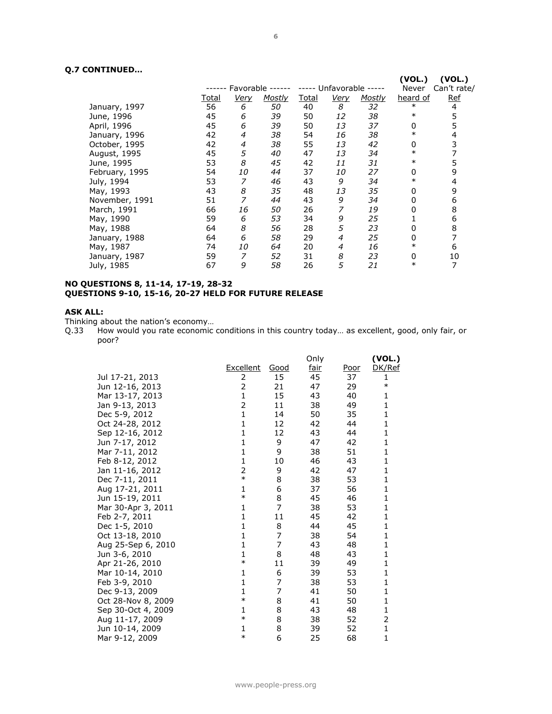# **Q.7 CONTINUED…**

| ,,,,,,,,,,,,,,, |              |             |                  |              |                   |        |                 |                       |
|-----------------|--------------|-------------|------------------|--------------|-------------------|--------|-----------------|-----------------------|
|                 | ------       |             | Favorable ------ | -----        | Unfavorable ----- |        | (VOL.)<br>Never | (VOL.)<br>Can't rate/ |
|                 | <u>Total</u> | <u>Verv</u> | <u>Mostly</u>    | <u>Total</u> | <b>Very</b>       | Mostly | heard of        | <b>Ref</b>            |
| January, 1997   | 56           | 6           | 50               | 40           | 8                 | 32     | $\ast$          | 4                     |
| June, 1996      | 45           | 6           | 39               | 50           | 12                | 38     | $\ast$          | 5                     |
| April, 1996     | 45           | 6           | 39               | 50           | 13                | 37     | 0               | 5                     |
| January, 1996   | 42           | 4           | 38               | 54           | 16                | 38     | $\ast$          | 4                     |
| October, 1995   | 42           | 4           | 38               | 55           | 13                | 42     | 0               | 3                     |
| August, 1995    | 45           | 5           | 40               | 47           | 13                | 34     | $\ast$          | 7                     |
| June, 1995      | 53           | 8           | 45               | 42           | 11                | 31     | $\ast$          | 5                     |
| February, 1995  | 54           | 10          | 44               | 37           | 10                | 27     | 0               | 9                     |
| July, 1994      | 53           | 7           | 46               | 43           | 9                 | 34     | $\ast$          | 4                     |
| May, 1993       | 43           | 8           | 35               | 48           | 13                | 35     | 0               | 9                     |
| November, 1991  | 51           | 7           | 44               | 43           | 9                 | 34     | 0               | 6                     |
| March, 1991     | 66           | 16          | 50               | 26           | 7                 | 19     | 0               | 8                     |
| May, 1990       | 59           | 6           | 53               | 34           | 9                 | 25     |                 | 6                     |
| May, 1988       | 64           | 8           | 56               | 28           | 5                 | 23     | 0               | 8                     |
| January, 1988   | 64           | 6           | 58               | 29           | 4                 | 25     | 0               | 7                     |
| May, 1987       | 74           | 10          | 64               | 20           | 4                 | 16     | $\ast$          | 6                     |
| January, 1987   | 59           | 7           | 52               | 31           | 8                 | 23     | 0               | 10                    |
| July, 1985      | 67           | 9           | 58               | 26           | 5                 | 21     | $\ast$          | 7                     |

#### **NO QUESTIONS 8, 11-14, 17-19, 28-32 QUESTIONS 9-10, 15-16, 20-27 HELD FOR FUTURE RELEASE**

# **ASK ALL:**

Thinking about the nation's economy…

Q.33 How would you rate economic conditions in this country today… as excellent, good, only fair, or poor?

|                    |              |      | Only        |             | (VOL.)       |
|--------------------|--------------|------|-------------|-------------|--------------|
|                    | Excellent    | Good | <u>fair</u> | <u>Poor</u> | DK/Ref       |
| Jul 17-21, 2013    | 2            | 15   | 45          | 37          | 1            |
| Jun 12-16, 2013    | 2            | 21   | 47          | 29          | $\ast$       |
| Mar 13-17, 2013    | $\mathbf{1}$ | 15   | 43          | 40          | 1            |
| Jan 9-13, 2013     | 2            | 11   | 38          | 49          | 1            |
| Dec 5-9, 2012      | $\mathbf{1}$ | 14   | 50          | 35          | 1            |
| Oct 24-28, 2012    | $\mathbf{1}$ | 12   | 42          | 44          | 1            |
| Sep 12-16, 2012    | $\mathbf{1}$ | 12   | 43          | 44          | 1            |
| Jun 7-17, 2012     | 1            | 9    | 47          | 42          | 1            |
| Mar 7-11, 2012     | $\mathbf{1}$ | 9    | 38          | 51          | 1            |
| Feb 8-12, 2012     | $\mathbf{1}$ | 10   | 46          | 43          | 1            |
| Jan 11-16, 2012    | 2            | 9    | 42          | 47          | 1            |
| Dec 7-11, 2011     | $\ast$       | 8    | 38          | 53          | 1            |
| Aug 17-21, 2011    | 1            | 6    | 37          | 56          | 1            |
| Jun 15-19, 2011    | $\ast$       | 8    | 45          | 46          | 1            |
| Mar 30-Apr 3, 2011 | 1            | 7    | 38          | 53          | 1            |
| Feb 2-7, 2011      | $\mathbf{1}$ | 11   | 45          | 42          | 1            |
| Dec 1-5, 2010      | $\mathbf{1}$ | 8    | 44          | 45          | 1            |
| Oct 13-18, 2010    | 1            | 7    | 38          | 54          | 1            |
| Aug 25-Sep 6, 2010 | $\mathbf{1}$ | 7    | 43          | 48          | 1            |
| Jun 3-6, 2010      | 1            | 8    | 48          | 43          | 1            |
| Apr 21-26, 2010    | $\ast$       | 11   | 39          | 49          | 1            |
| Mar 10-14, 2010    | 1            | 6    | 39          | 53          | 1            |
| Feb 3-9, 2010      | $\mathbf{1}$ | 7    | 38          | 53          | 1            |
| Dec 9-13, 2009     | 1            | 7    | 41          | 50          | 1            |
| Oct 28-Nov 8, 2009 | $\ast$       | 8    | 41          | 50          | 1            |
| Sep 30-Oct 4, 2009 | 1            | 8    | 43          | 48          | $\mathbf{1}$ |
| Aug 11-17, 2009    | $\ast$       | 8    | 38          | 52          | 2            |
| Jun 10-14, 2009    | 1            | 8    | 39          | 52          | 1            |
| Mar 9-12, 2009     | $\ast$       | 6    | 25          | 68          | 1            |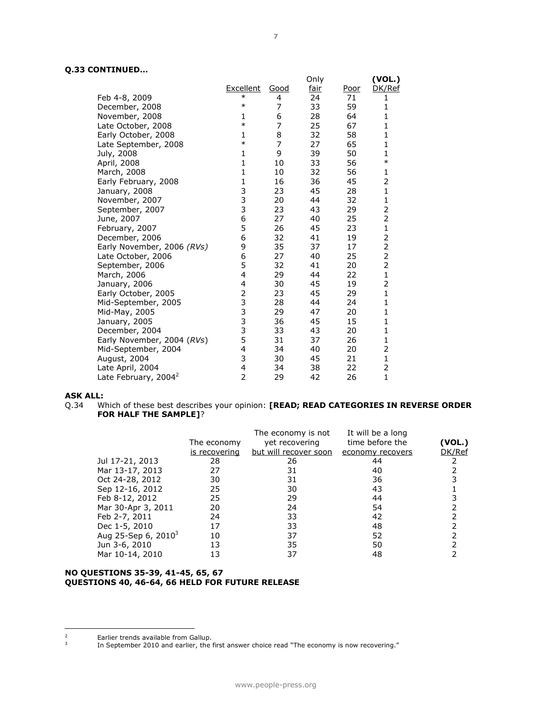# **Q.33 CONTINUED…**

|                                  |                                              |             | Only        |             | (VOL.)         |
|----------------------------------|----------------------------------------------|-------------|-------------|-------------|----------------|
|                                  | Excellent                                    | <u>Good</u> | <u>fair</u> | <u>Poor</u> | DK/Ref         |
| Feb 4-8, 2009                    | $\ast$                                       | 4           | 24          | 71          | 1              |
| December, 2008                   | $\ast$                                       | 7           | 33          | 59          | 1              |
| November, 2008                   | 1                                            | 6           | 28          | 64          | $\mathbf{1}$   |
| Late October, 2008               | $\ast$                                       | 7           | 25          | 67          | 1              |
| Early October, 2008              | $\mathbf{1}$                                 | 8           | 32          | 58          | $\mathbf{1}$   |
| Late September, 2008             | $\ast$                                       | 7           | 27          | 65          | 1              |
| July, 2008                       | $\mathbf{1}$                                 | 9           | 39          | 50          | $\mathbf{1}$   |
| April, 2008                      | $\mathbf{1}$                                 | 10          | 33          | 56          | $\ast$         |
| March, 2008                      | $\mathbf{1}$                                 | 10          | 32          | 56          | 1              |
| Early February, 2008             | $\mathbf{1}$                                 | 16          | 36          | 45          | 2              |
| January, 2008                    | 3                                            | 23          | 45          | 28          | $\mathbf{1}$   |
| November, 2007                   |                                              | 20          | 44          | 32          | 1              |
| September, 2007                  | 3<br>3                                       | 23          | 43          | 29          | 2              |
| June, 2007                       | 6                                            | 27          | 40          | 25          | 2              |
| February, 2007                   | 5                                            | 26          | 45          | 23          | $\mathbf{1}$   |
| December, 2006                   | 6                                            | 32          | 41          | 19          | 2              |
| Early November, 2006 (RVs)       | 9                                            | 35          | 37          | 17          | $\overline{c}$ |
| Late October, 2006               | 6                                            | 27          | 40          | 25          | $\overline{2}$ |
| September, 2006                  | 5                                            | 32          | 41          | 20          | $\overline{2}$ |
| March, 2006                      | 4                                            | 29          | 44          | 22          | $\mathbf{1}$   |
| January, 2006                    | 4                                            | 30          | 45          | 19          | 2              |
| Early October, 2005              | $\overline{c}$                               | 23          | 45          | 29          | $\mathbf{1}$   |
| Mid-September, 2005              | $\begin{array}{c}\n3 \\ 3 \\ 3\n\end{array}$ | 28          | 44          | 24          | 1              |
| Mid-May, 2005                    |                                              | 29          | 47          | 20          | $\mathbf{1}$   |
| January, 2005                    |                                              | 36          | 45          | 15          | 1              |
| December, 2004                   |                                              | 33          | 43          | 20          | $\mathbf{1}$   |
| Early November, 2004 (RVs)       | 5                                            | 31          | 37          | 26          | 1              |
| Mid-September, 2004              | 4                                            | 34          | 40          | 20          | 2              |
| August, 2004                     | 3                                            | 30          | 45          | 21          | $\mathbf{1}$   |
| Late April, 2004                 | 4                                            | 34          | 38          | 22          | $\overline{c}$ |
| Late February, 2004 <sup>2</sup> | $\overline{2}$                               | 29          | 42          | 26          | $\mathbf{1}$   |

# **ASK ALL:**

Q.34 Which of these best describes your opinion: **[READ; READ CATEGORIES IN REVERSE ORDER FOR HALF THE SAMPLE]**?

|                        |               | The economy is not    | It will be a long |        |
|------------------------|---------------|-----------------------|-------------------|--------|
|                        | The economy   | yet recovering        | time before the   | (VOL.) |
|                        | is recovering | but will recover soon | economy recovers  | DK/Ref |
| Jul 17-21, 2013        | 28            | 26                    | 44                |        |
| Mar 13-17, 2013        | 27            | 31                    | 40                |        |
| Oct 24-28, 2012        | 30            | 31                    | 36                |        |
| Sep 12-16, 2012        | 25            | 30                    | 43                |        |
| Feb 8-12, 2012         | 25            | 29                    | 44                |        |
| Mar 30-Apr 3, 2011     | 20            | 24                    | 54                |        |
| Feb 2-7, 2011          | 24            | 33                    | 42                |        |
| Dec 1-5, 2010          | 17            | 33                    | 48                |        |
| Aug 25-Sep 6, $2010^3$ | 10            | 37                    | 52                |        |
| Jun 3-6, 2010          | 13            | 35                    | 50                |        |
| Mar 10-14, 2010        | 13            | 37                    | 48                |        |

#### **NO QUESTIONS 35-39, 41-45, 65, 67 QUESTIONS 40, 46-64, 66 HELD FOR FUTURE RELEASE**

 $\mathbf 2$ Earlier trends available from Gallup. 3

In September 2010 and earlier, the first answer choice read "The economy is now recovering."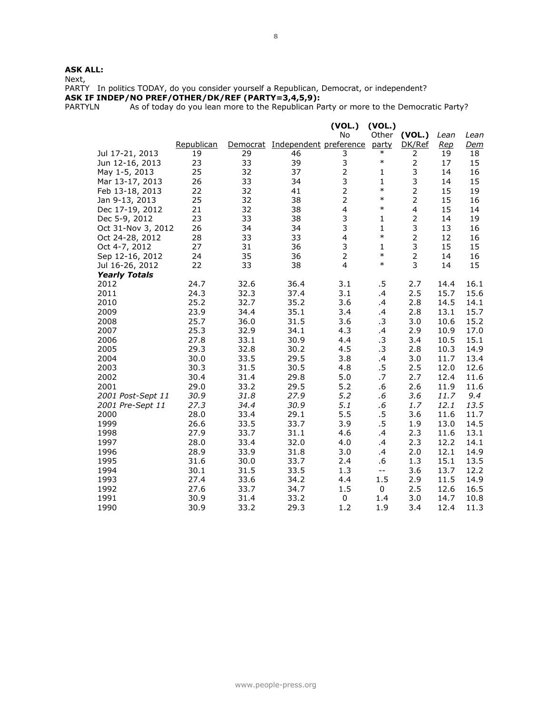# **ASK ALL:**

Next,

PARTY In politics TODAY, do you consider yourself a Republican, Democrat, or independent?

**ASK IF INDEP/NO PREF/OTHER/DK/REF (PARTY=3,4,5,9):**

PARTYLN As of today do you lean more to the Republican Party or more to the Democratic Party?

|                      |            |          |                        | (VOL.)                  | (VOL.)                   |                |      |            |
|----------------------|------------|----------|------------------------|-------------------------|--------------------------|----------------|------|------------|
|                      |            |          |                        | No                      | Other                    | (VOL.)         | Lean | Lean       |
|                      | Republican | Democrat | Independent preference |                         | party                    | DK/Ref         | Rep  | <u>Dem</u> |
| Jul 17-21, 2013      | 19         | 29       | 46                     | 3                       | $\ast$                   | 2              | 19   | 18         |
| Jun 12-16, 2013      | 23         | 33       | 39                     | 3                       | $\ast$                   | $\mathbf 2$    | 17   | 15         |
| May 1-5, 2013        | 25         | 32       | 37                     | $\overline{2}$          | $\mathbf{1}$             | 3              | 14   | 16         |
| Mar 13-17, 2013      | 26         | 33       | 34                     | 3                       | 1                        | 3              | 14   | 15         |
| Feb 13-18, 2013      | 22         | 32       | 41                     | $\overline{2}$          | $\ast$                   | $\overline{2}$ | 15   | 19         |
| Jan 9-13, 2013       | 25         | 32       | 38                     | $\overline{2}$          | $\ast$                   | 2              | 15   | 16         |
| Dec 17-19, 2012      | 21         | 32       | 38                     | $\overline{\mathbf{4}}$ | $\ast$                   | 4              | 15   | 14         |
| Dec 5-9, 2012        | 23         | 33       | 38                     | 3                       | $\mathbf 1$              | $\overline{2}$ | 14   | 19         |
| Oct 31-Nov 3, 2012   | 26         | 34       | 34                     | 3                       | $\mathbf{1}$             | 3              | 13   | 16         |
| Oct 24-28, 2012      | 28         | 33       | 33                     | $\overline{\mathbf{4}}$ | $\ast$                   | $\overline{2}$ | 12   | 16         |
| Oct 4-7, 2012        | 27         | 31       | 36                     | 3                       | 1                        | 3              | 15   | 15         |
| Sep 12-16, 2012      | 24         | 35       | 36                     | $\overline{2}$          | $\ast$                   | $\overline{2}$ | 14   | 16         |
| Jul 16-26, 2012      | 22         | 33       | 38                     | 4                       | $\ast$                   | 3              | 14   | 15         |
| <b>Yearly Totals</b> |            |          |                        |                         |                          |                |      |            |
| 2012                 | 24.7       | 32.6     | 36.4                   | 3.1                     | .5                       | 2.7            | 14.4 | 16.1       |
| 2011                 | 24.3       | 32.3     | 37.4                   | 3.1                     | .4                       | 2.5            | 15.7 | 15.6       |
| 2010                 | 25.2       | 32.7     | 35.2                   | 3.6                     | .4                       | 2.8            | 14.5 | 14.1       |
| 2009                 | 23.9       | 34.4     | 35.1                   | 3.4                     | $\cdot$                  | 2.8            | 13.1 | 15.7       |
| 2008                 | 25.7       | 36.0     | 31.5                   | 3.6                     | .3                       | 3.0            | 10.6 | 15.2       |
| 2007                 | 25.3       | 32.9     | 34.1                   | 4.3                     | .4                       | 2.9            | 10.9 | 17.0       |
| 2006                 | 27.8       | 33.1     | 30.9                   | 4.4                     | .3                       | 3.4            | 10.5 | 15.1       |
| 2005                 | 29.3       | 32.8     | 30.2                   | 4.5                     | .3                       | 2.8            | 10.3 | 14.9       |
| 2004                 | 30.0       | 33.5     | 29.5                   | 3.8                     | .4                       | 3.0            | 11.7 | 13.4       |
| 2003                 | 30.3       | 31.5     | 30.5                   | 4.8                     | .5                       | 2.5            | 12.0 | 12.6       |
| 2002                 | 30.4       | 31.4     | 29.8                   | 5.0                     | .7                       | 2.7            | 12.4 | 11.6       |
| 2001                 | 29.0       | 33.2     | 29.5                   | 5.2                     | .6                       | 2.6            | 11.9 | 11.6       |
| 2001 Post-Sept 11    | 30.9       | 31.8     | 27.9                   | 5.2                     | $.6\,$                   | 3.6            | 11.7 | 9.4        |
| 2001 Pre-Sept 11     | 27.3       | 34.4     | 30.9                   | 5.1                     | .6                       | 1.7            | 12.1 | 13.5       |
| 2000                 | 28.0       | 33.4     | 29.1                   | 5.5                     | .5                       | 3.6            | 11.6 | 11.7       |
| 1999                 | 26.6       | 33.5     | 33.7                   | 3.9                     | .5                       | 1.9            | 13.0 | 14.5       |
| 1998                 | 27.9       | 33.7     | 31.1                   | 4.6                     | .4                       | 2.3            | 11.6 | 13.1       |
| 1997                 | 28.0       | 33.4     | 32.0                   | 4.0                     | $\cdot$                  | 2.3            | 12.2 | 14.1       |
| 1996                 | 28.9       | 33.9     | 31.8                   | 3.0                     | .4                       | 2.0            | 12.1 | 14.9       |
| 1995                 | 31.6       | 30.0     | 33.7                   | 2.4                     | .6                       | 1.3            | 15.1 | 13.5       |
| 1994                 | 30.1       | 31.5     | 33.5                   | 1.3                     | $\overline{\phantom{a}}$ | 3.6            | 13.7 | 12.2       |
| 1993                 | 27.4       | 33.6     | 34.2                   | 4.4                     | 1.5                      | 2.9            | 11.5 | 14.9       |
| 1992                 | 27.6       | 33.7     | 34.7                   | 1.5                     | 0                        | 2.5            | 12.6 | 16.5       |
| 1991                 | 30.9       | 31.4     | 33.2                   | $\mathbf 0$             | 1.4                      | 3.0            | 14.7 | 10.8       |
| 1990                 | 30.9       | 33.2     | 29.3                   | 1.2                     | 1.9                      | 3.4            | 12.4 | 11.3       |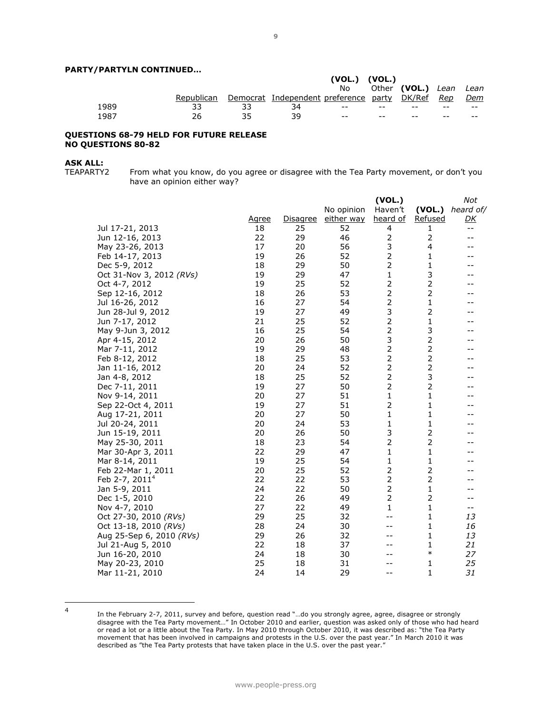### **PARTY/PARTYLN CONTINUED…**

|      |            |    |                                              | $(VOL.)$ $(VOL.)$ |       |                        |       |       |
|------|------------|----|----------------------------------------------|-------------------|-------|------------------------|-------|-------|
|      |            |    |                                              | No.               |       | Other (VOL.) Lean Lean |       |       |
|      | Republican |    | Democrat Independent preference party DK/Ref |                   |       |                        | Rep   | Dem   |
| 1989 |            |    | 34                                           | $- -$             | $- -$ | $- -$                  | $- -$ | $- -$ |
| 1987 |            | マロ | 3d                                           | $- -$             | $- -$ | --                     | $- -$ | $- -$ |

#### **QUESTIONS 68-79 HELD FOR FUTURE RELEASE NO QUESTIONS 80-82**

# **ASK ALL:**<br>TEAPARTY2

From what you know, do you agree or disagree with the Tea Party movement, or don't you have an opinion either way?

|                            |              |                 |            | (VOL.)          |                | Not       |
|----------------------------|--------------|-----------------|------------|-----------------|----------------|-----------|
|                            |              |                 | No opinion | Haven't         | (VOL.)         | heard of/ |
|                            | <u>Agree</u> | <b>Disagree</b> | either way | <u>heard of</u> | <u>Refused</u> | <u>DК</u> |
| Jul 17-21, 2013            | 18           | 25              | 52         | 4               | 1              | $- -$     |
| Jun 12-16, 2013            | 22           | 29              | 46         | $\overline{2}$  | $\overline{2}$ | $-1$      |
| May 23-26, 2013            | 17           | 20              | 56         | 3               | 4              | $- -$     |
| Feb 14-17, 2013            | 19           | 26              | 52         | $\overline{2}$  | 1              |           |
| Dec 5-9, 2012              | 18           | 29              | 50         | $\overline{2}$  | 1              |           |
| Oct 31-Nov 3, 2012 (RVs)   | 19           | 29              | 47         | 1               | 3              |           |
| Oct 4-7, 2012              | 19           | 25              | 52         | 2               |                |           |
| Sep 12-16, 2012            | 18           | 26              | 53         | $\overline{2}$  | $\mathbf 2$    |           |
| Jul 16-26, 2012            | 16           | 27              | 54         | $\overline{2}$  | $\mathbf 1$    |           |
| Jun 28-Jul 9, 2012         | 19           | 27              | 49         | 3               | $\overline{2}$ |           |
| Jun 7-17, 2012             | 21           | 25              | 52         | $\mathbf 2$     | 1              |           |
| May 9-Jun 3, 2012          | 16           | 25              | 54         | $\overline{2}$  | 3              |           |
| Apr 4-15, 2012             | 20           | 26              | 50         | 3               | $\mathbf 2$    |           |
| Mar 7-11, 2012             | 19           | 29              | 48         | $\overline{2}$  | $\mathbf 2$    |           |
| Feb 8-12, 2012             | 18           | 25              | 53         | $\overline{2}$  | $\mathbf 2$    |           |
| Jan 11-16, 2012            | 20           | 24              | 52         | $\overline{2}$  | $\mathbf 2$    |           |
| Jan 4-8, 2012              | 18           | 25              | 52         | $\overline{2}$  | 3              |           |
| Dec 7-11, 2011             | 19           | 27              | 50         | $\overline{2}$  | $\overline{2}$ |           |
| Nov 9-14, 2011             | 20           | 27              | 51         | $\mathbf{1}$    | $\mathbf 1$    |           |
| Sep 22-Oct 4, 2011         | 19           | 27              | 51         | $\overline{2}$  | $\mathbf{1}$   |           |
| Aug 17-21, 2011            | 20           | 27              | 50         | 1               | 1              |           |
| Jul 20-24, 2011            | 20           | 24              | 53         | 1               | 1              |           |
| Jun 15-19, 2011            | 20           | 26              | 50         | 3               | 2              |           |
| May 25-30, 2011            | 18           | 23              | 54         | $\overline{2}$  | $\mathbf 2$    |           |
| Mar 30-Apr 3, 2011         | 22           | 29              | 47         | $\mathbf{1}$    | $\mathbf 1$    |           |
| Mar 8-14, 2011             | 19           | 25              | 54         | 1               | 1              |           |
| Feb 22-Mar 1, 2011         | 20           | 25              | 52         | 2               | 2              |           |
| Feb 2-7, 2011 <sup>4</sup> | 22           | 22              | 53         | $\overline{2}$  | $\mathbf 2$    |           |
| Jan 5-9, 2011              | 24           | 22              | 50         | $\overline{2}$  | 1              |           |
| Dec 1-5, 2010              | 22           | 26              | 49         | $\overline{2}$  | $\overline{2}$ |           |
| Nov 4-7, 2010              | 27           | 22              | 49         | 1               | 1              | $-\,-$    |
| Oct 27-30, 2010 (RVs)      | 29           | 25              | 32         | --              | 1              | 13        |
| Oct 13-18, 2010 (RVs)      | 28           | 24              | 30         |                 | 1              | 16        |
| Aug 25-Sep 6, 2010 (RVs)   | 29           | 26              | 32         |                 | 1              | 13        |
| Jul 21-Aug 5, 2010         | 22           | 18              | 37         |                 | 1              | 21        |
| Jun 16-20, 2010            | 24           | 18              | 30         |                 | $\ast$         | 27        |
| May 20-23, 2010            | 25           | 18              | 31         |                 | 1              | 25        |
| Mar 11-21, 2010            | 24           | 14              | 29         | $-1$            | 1              | 31        |

 $\frac{1}{4}$ 

In the February 2-7, 2011, survey and before, question read "…do you strongly agree, agree, disagree or strongly disagree with the Tea Party movement…" In October 2010 and earlier, question was asked only of those who had heard or read a lot or a little about the Tea Party. In May 2010 through October 2010, it was described as: "the Tea Party movement that has been involved in campaigns and protests in the U.S. over the past year." In March 2010 it was described as "the Tea Party protests that have taken place in the U.S. over the past year."